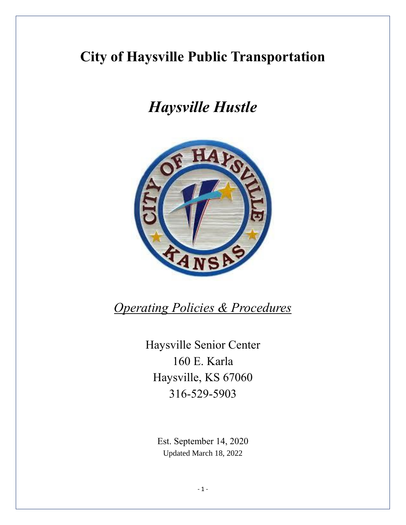# **City of Haysville Public Transportation**

# *Haysville Hustle*



*Operating Policies & Procedures*

Haysville Senior Center 160 E. Karla Haysville, KS 67060 316-529-5903

> Est. September 14, 2020 Updated March 18, 2022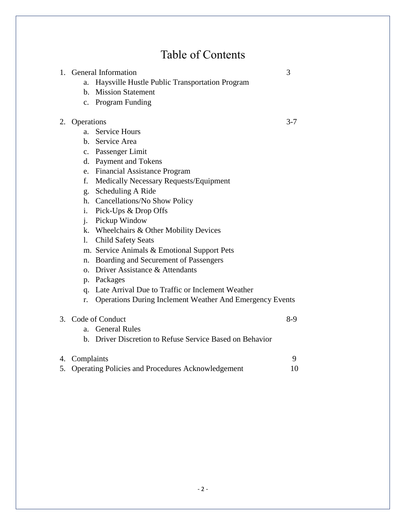# Table of Contents

|    |                                                                                                            | 3                                                                                                                                                                                                                                                                                                                                                                                                                                                                                                                                                                                                                                                                                                                                                                             |
|----|------------------------------------------------------------------------------------------------------------|-------------------------------------------------------------------------------------------------------------------------------------------------------------------------------------------------------------------------------------------------------------------------------------------------------------------------------------------------------------------------------------------------------------------------------------------------------------------------------------------------------------------------------------------------------------------------------------------------------------------------------------------------------------------------------------------------------------------------------------------------------------------------------|
| a. | Haysville Hustle Public Transportation Program                                                             |                                                                                                                                                                                                                                                                                                                                                                                                                                                                                                                                                                                                                                                                                                                                                                               |
| h. | <b>Mission Statement</b>                                                                                   |                                                                                                                                                                                                                                                                                                                                                                                                                                                                                                                                                                                                                                                                                                                                                                               |
|    |                                                                                                            |                                                                                                                                                                                                                                                                                                                                                                                                                                                                                                                                                                                                                                                                                                                                                                               |
|    |                                                                                                            | $3 - 7$                                                                                                                                                                                                                                                                                                                                                                                                                                                                                                                                                                                                                                                                                                                                                                       |
|    |                                                                                                            |                                                                                                                                                                                                                                                                                                                                                                                                                                                                                                                                                                                                                                                                                                                                                                               |
|    |                                                                                                            |                                                                                                                                                                                                                                                                                                                                                                                                                                                                                                                                                                                                                                                                                                                                                                               |
|    |                                                                                                            |                                                                                                                                                                                                                                                                                                                                                                                                                                                                                                                                                                                                                                                                                                                                                                               |
|    |                                                                                                            |                                                                                                                                                                                                                                                                                                                                                                                                                                                                                                                                                                                                                                                                                                                                                                               |
|    |                                                                                                            |                                                                                                                                                                                                                                                                                                                                                                                                                                                                                                                                                                                                                                                                                                                                                                               |
|    |                                                                                                            |                                                                                                                                                                                                                                                                                                                                                                                                                                                                                                                                                                                                                                                                                                                                                                               |
|    |                                                                                                            |                                                                                                                                                                                                                                                                                                                                                                                                                                                                                                                                                                                                                                                                                                                                                                               |
|    |                                                                                                            |                                                                                                                                                                                                                                                                                                                                                                                                                                                                                                                                                                                                                                                                                                                                                                               |
|    |                                                                                                            |                                                                                                                                                                                                                                                                                                                                                                                                                                                                                                                                                                                                                                                                                                                                                                               |
|    |                                                                                                            |                                                                                                                                                                                                                                                                                                                                                                                                                                                                                                                                                                                                                                                                                                                                                                               |
|    |                                                                                                            |                                                                                                                                                                                                                                                                                                                                                                                                                                                                                                                                                                                                                                                                                                                                                                               |
|    |                                                                                                            |                                                                                                                                                                                                                                                                                                                                                                                                                                                                                                                                                                                                                                                                                                                                                                               |
|    |                                                                                                            |                                                                                                                                                                                                                                                                                                                                                                                                                                                                                                                                                                                                                                                                                                                                                                               |
|    |                                                                                                            |                                                                                                                                                                                                                                                                                                                                                                                                                                                                                                                                                                                                                                                                                                                                                                               |
|    |                                                                                                            |                                                                                                                                                                                                                                                                                                                                                                                                                                                                                                                                                                                                                                                                                                                                                                               |
|    |                                                                                                            |                                                                                                                                                                                                                                                                                                                                                                                                                                                                                                                                                                                                                                                                                                                                                                               |
|    |                                                                                                            |                                                                                                                                                                                                                                                                                                                                                                                                                                                                                                                                                                                                                                                                                                                                                                               |
|    |                                                                                                            |                                                                                                                                                                                                                                                                                                                                                                                                                                                                                                                                                                                                                                                                                                                                                                               |
|    |                                                                                                            |                                                                                                                                                                                                                                                                                                                                                                                                                                                                                                                                                                                                                                                                                                                                                                               |
|    |                                                                                                            | $8-9$                                                                                                                                                                                                                                                                                                                                                                                                                                                                                                                                                                                                                                                                                                                                                                         |
| a. | <b>General Rules</b>                                                                                       |                                                                                                                                                                                                                                                                                                                                                                                                                                                                                                                                                                                                                                                                                                                                                                               |
| h. | Driver Discretion to Refuse Service Based on Behavior                                                      |                                                                                                                                                                                                                                                                                                                                                                                                                                                                                                                                                                                                                                                                                                                                                                               |
|    |                                                                                                            | 9                                                                                                                                                                                                                                                                                                                                                                                                                                                                                                                                                                                                                                                                                                                                                                             |
|    |                                                                                                            | 10                                                                                                                                                                                                                                                                                                                                                                                                                                                                                                                                                                                                                                                                                                                                                                            |
| 2. | 1.<br>f.<br>g.<br>$\mathbf{i}$ .<br>$\mathbf{i}$ .<br>$\mathbf{1}$ .<br>n.<br>$\Omega$ .<br>q.<br>r.<br>4. | <b>General Information</b><br>c. Program Funding<br>Operations<br><b>Service Hours</b><br>a.<br>b. Service Area<br>c. Passenger Limit<br>d. Payment and Tokens<br>e. Financial Assistance Program<br>Medically Necessary Requests/Equipment<br>Scheduling A Ride<br>h. Cancellations/No Show Policy<br>Pick-Ups & Drop Offs<br>Pickup Window<br>k. Wheelchairs & Other Mobility Devices<br><b>Child Safety Seats</b><br>m. Service Animals & Emotional Support Pets<br>Boarding and Securement of Passengers<br>Driver Assistance & Attendants<br>p. Packages<br>Late Arrival Due to Traffic or Inclement Weather<br><b>Operations During Inclement Weather And Emergency Events</b><br>3. Code of Conduct<br>Complaints<br>Operating Policies and Procedures Acknowledgement |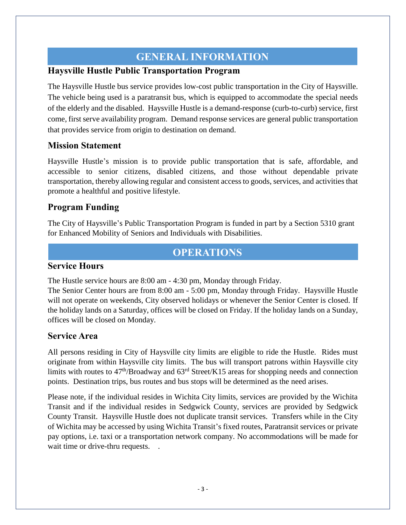# **GENERAL INFORMATION**

#### **Haysville Hustle Public Transportation Program**

The Haysville Hustle bus service provides low-cost public transportation in the City of Haysville. The vehicle being used is a paratransit bus, which is equipped to accommodate the special needs of the elderly and the disabled. Haysville Hustle is a demand-response (curb-to-curb) service, first come, first serve availability program. Demand response services are general public transportation that provides service from origin to destination on demand.

#### **Mission Statement**

Haysville Hustle's mission is to provide public transportation that is safe, affordable, and accessible to senior citizens, disabled citizens, and those without dependable private transportation, thereby allowing regular and consistent access to goods, services, and activities that promote a healthful and positive lifestyle.

#### **Program Funding**

The City of Haysville's Public Transportation Program is funded in part by a Section 5310 grant for Enhanced Mobility of Seniors and Individuals with Disabilities.

# **OPERATIONS**

#### **Service Hours**

The Hustle service hours are 8:00 am - 4:30 pm, Monday through Friday.

The Senior Center hours are from 8:00 am - 5:00 pm, Monday through Friday. Haysville Hustle will not operate on weekends, City observed holidays or whenever the Senior Center is closed. If the holiday lands on a Saturday, offices will be closed on Friday. If the holiday lands on a Sunday, offices will be closed on Monday.

#### **Service Area**

All persons residing in City of Haysville city limits are eligible to ride the Hustle. Rides must originate from within Haysville city limits. The bus will transport patrons within Haysville city limits with routes to  $47<sup>th</sup>/\text{Broadway}$  and  $63<sup>rd</sup>$  Street/K15 areas for shopping needs and connection points. Destination trips, bus routes and bus stops will be determined as the need arises.

Please note, if the individual resides in Wichita City limits, services are provided by the Wichita Transit and if the individual resides in Sedgwick County, services are provided by Sedgwick County Transit. Haysville Hustle does not duplicate transit services. Transfers while in the City of Wichita may be accessed by using Wichita Transit's fixed routes, Paratransit services or private pay options, i.e. taxi or a transportation network company. No accommodations will be made for wait time or drive-thru requests. .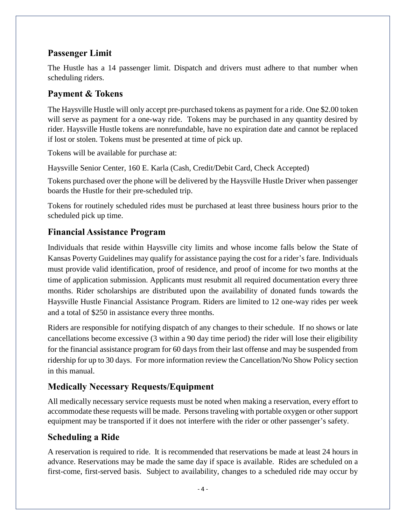## **Passenger Limit**

The Hustle has a 14 passenger limit. Dispatch and drivers must adhere to that number when scheduling riders.

#### **Payment & Tokens**

The Haysville Hustle will only accept pre-purchased tokens as payment for a ride. One \$2.00 token will serve as payment for a one-way ride. Tokens may be purchased in any quantity desired by rider. Haysville Hustle tokens are nonrefundable, have no expiration date and cannot be replaced if lost or stolen. Tokens must be presented at time of pick up.

Tokens will be available for purchase at:

Haysville Senior Center, 160 E. Karla (Cash, Credit/Debit Card, Check Accepted)

Tokens purchased over the phone will be delivered by the Haysville Hustle Driver when passenger boards the Hustle for their pre-scheduled trip.

Tokens for routinely scheduled rides must be purchased at least three business hours prior to the scheduled pick up time.

#### **Financial Assistance Program**

Individuals that reside within Haysville city limits and whose income falls below the State of Kansas Poverty Guidelines may qualify for assistance paying the cost for a rider's fare. Individuals must provide valid identification, proof of residence, and proof of income for two months at the time of application submission. Applicants must resubmit all required documentation every three months. Rider scholarships are distributed upon the availability of donated funds towards the Haysville Hustle Financial Assistance Program. Riders are limited to 12 one-way rides per week and a total of \$250 in assistance every three months.

Riders are responsible for notifying dispatch of any changes to their schedule. If no shows or late cancellations become excessive (3 within a 90 day time period) the rider will lose their eligibility for the financial assistance program for 60 days from their last offense and may be suspended from ridership for up to 30 days. For more information review the Cancellation/No Show Policy section in this manual.

## **Medically Necessary Requests/Equipment**

All medically necessary service requests must be noted when making a reservation, every effort to accommodate these requests will be made. Persons traveling with portable oxygen or other support equipment may be transported if it does not interfere with the rider or other passenger's safety.

## **Scheduling a Ride**

A reservation is required to ride. It is recommended that reservations be made at least 24 hours in advance. Reservations may be made the same day if space is available. Rides are scheduled on a first-come, first-served basis. Subject to availability, changes to a scheduled ride may occur by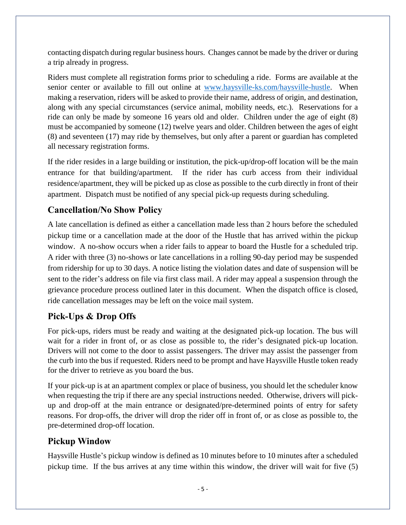contacting dispatch during regular business hours. Changes cannot be made by the driver or during a trip already in progress.

Riders must complete all registration forms prior to scheduling a ride. Forms are available at the senior center or available to fill out online at [www.haysville-ks.com/haysville-hustle.](http://www.haysville-ks.com/haysville-hustle) When making a reservation, riders will be asked to provide their name, address of origin, and destination, along with any special circumstances (service animal, mobility needs, etc.). Reservations for a ride can only be made by someone 16 years old and older. Children under the age of eight (8) must be accompanied by someone (12) twelve years and older. Children between the ages of eight (8) and seventeen (17) may ride by themselves, but only after a parent or guardian has completed all necessary registration forms.

If the rider resides in a large building or institution, the pick-up/drop-off location will be the main entrance for that building/apartment. If the rider has curb access from their individual residence/apartment, they will be picked up as close as possible to the curb directly in front of their apartment. Dispatch must be notified of any special pick-up requests during scheduling.

## **Cancellation/No Show Policy**

A late cancellation is defined as either a cancellation made less than 2 hours before the scheduled pickup time or a cancellation made at the door of the Hustle that has arrived within the pickup window. A no-show occurs when a rider fails to appear to board the Hustle for a scheduled trip. A rider with three (3) no-shows or late cancellations in a rolling 90-day period may be suspended from ridership for up to 30 days. A notice listing the violation dates and date of suspension will be sent to the rider's address on file via first class mail. A rider may appeal a suspension through the grievance procedure process outlined later in this document. When the dispatch office is closed, ride cancellation messages may be left on the voice mail system.

## **Pick-Ups & Drop Offs**

For pick-ups, riders must be ready and waiting at the designated pick-up location. The bus will wait for a rider in front of, or as close as possible to, the rider's designated pick-up location. Drivers will not come to the door to assist passengers. The driver may assist the passenger from the curb into the bus if requested. Riders need to be prompt and have Haysville Hustle token ready for the driver to retrieve as you board the bus.

If your pick-up is at an apartment complex or place of business, you should let the scheduler know when requesting the trip if there are any special instructions needed. Otherwise, drivers will pickup and drop-off at the main entrance or designated/pre-determined points of entry for safety reasons. For drop-offs, the driver will drop the rider off in front of, or as close as possible to, the pre-determined drop-off location.

#### **Pickup Window**

Haysville Hustle's pickup window is defined as 10 minutes before to 10 minutes after a scheduled pickup time. If the bus arrives at any time within this window, the driver will wait for five (5)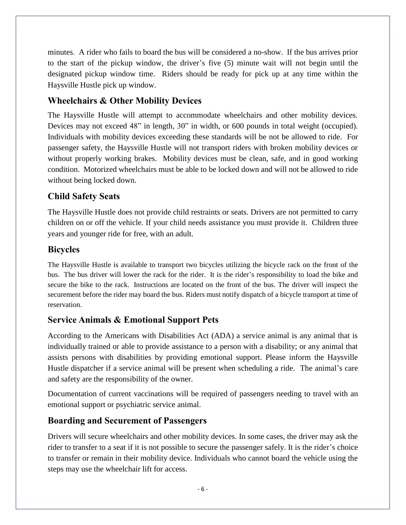minutes. A rider who fails to board the bus will be considered a no-show. If the bus arrives prior to the start of the pickup window, the driver's five (5) minute wait will not begin until the designated pickup window time. Riders should be ready for pick up at any time within the Haysville Hustle pick up window.

## **Wheelchairs & Other Mobility Devices**

The Haysville Hustle will attempt to accommodate wheelchairs and other mobility devices. Devices may not exceed 48" in length, 30" in width, or 600 pounds in total weight (occupied). Individuals with mobility devices exceeding these standards will be not be allowed to ride. For passenger safety, the Haysville Hustle will not transport riders with broken mobility devices or without properly working brakes. Mobility devices must be clean, safe, and in good working condition. Motorized wheelchairs must be able to be locked down and will not be allowed to ride without being locked down.

# **Child Safety Seats**

The Haysville Hustle does not provide child restraints or seats. Drivers are not permitted to carry children on or off the vehicle. If your child needs assistance you must provide it. Children three years and younger ride for free, with an adult.

#### **Bicycles**

The Haysville Hustle is available to transport two bicycles utilizing the bicycle rack on the front of the bus. The bus driver will lower the rack for the rider. It is the rider's responsibility to load the bike and secure the bike to the rack. Instructions are located on the front of the bus. The driver will inspect the securement before the rider may board the bus. Riders must notify dispatch of a bicycle transport at time of reservation.

## **Service Animals & Emotional Support Pets**

According to the Americans with Disabilities Act (ADA) a service animal is any animal that is individually trained or able to provide assistance to a person with a disability; or any animal that assists persons with disabilities by providing emotional support. Please inform the Haysville Hustle dispatcher if a service animal will be present when scheduling a ride. The animal's care and safety are the responsibility of the owner.

Documentation of current vaccinations will be required of passengers needing to travel with an emotional support or psychiatric service animal.

## **Boarding and Securement of Passengers**

Drivers will secure wheelchairs and other mobility devices. In some cases, the driver may ask the rider to transfer to a seat if it is not possible to secure the passenger safely. It is the rider's choice to transfer or remain in their mobility device. Individuals who cannot board the vehicle using the steps may use the wheelchair lift for access.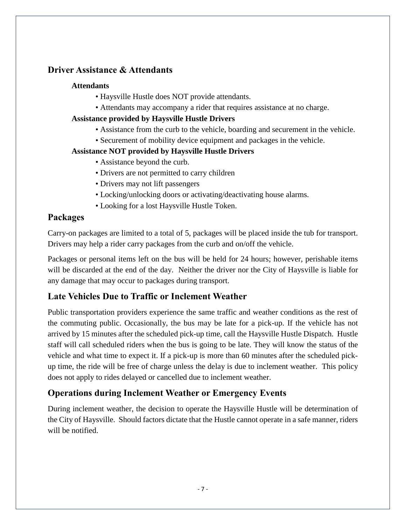#### **Driver Assistance & Attendants**

#### **Attendants**

- Haysville Hustle does NOT provide attendants.
- Attendants may accompany a rider that requires assistance at no charge.

#### **Assistance provided by Haysville Hustle Drivers**

- Assistance from the curb to the vehicle, boarding and securement in the vehicle.
- Securement of mobility device equipment and packages in the vehicle.

#### **Assistance NOT provided by Haysville Hustle Drivers**

- Assistance beyond the curb.
- Drivers are not permitted to carry children
- Drivers may not lift passengers
- Locking/unlocking doors or activating/deactivating house alarms.
- Looking for a lost Haysville Hustle Token.

#### **Packages**

Carry-on packages are limited to a total of 5, packages will be placed inside the tub for transport. Drivers may help a rider carry packages from the curb and on/off the vehicle.

Packages or personal items left on the bus will be held for 24 hours; however, perishable items will be discarded at the end of the day. Neither the driver nor the City of Haysville is liable for any damage that may occur to packages during transport.

## **Late Vehicles Due to Traffic or Inclement Weather**

Public transportation providers experience the same traffic and weather conditions as the rest of the commuting public. Occasionally, the bus may be late for a pick-up. If the vehicle has not arrived by 15 minutes after the scheduled pick-up time, call the Haysville Hustle Dispatch. Hustle staff will call scheduled riders when the bus is going to be late. They will know the status of the vehicle and what time to expect it. If a pick-up is more than 60 minutes after the scheduled pickup time, the ride will be free of charge unless the delay is due to inclement weather. This policy does not apply to rides delayed or cancelled due to inclement weather.

## **Operations during Inclement Weather or Emergency Events**

During inclement weather, the decision to operate the Haysville Hustle will be determination of the City of Haysville. Should factors dictate that the Hustle cannot operate in a safe manner, riders will be notified.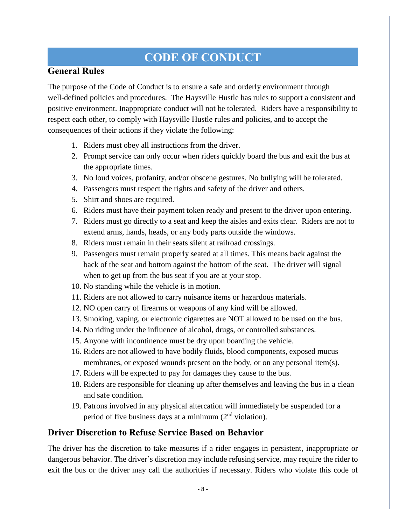# **CODE OF CONDUCT**

#### **General Rules**

The purpose of the Code of Conduct is to ensure a safe and orderly environment through well-defined policies and procedures. The Haysville Hustle has rules to support a consistent and positive environment. Inappropriate conduct will not be tolerated. Riders have a responsibility to respect each other, to comply with Haysville Hustle rules and policies, and to accept the consequences of their actions if they violate the following:

- 1. Riders must obey all instructions from the driver.
- 2. Prompt service can only occur when riders quickly board the bus and exit the bus at the appropriate times.
- 3. No loud voices, profanity, and/or obscene gestures. No bullying will be tolerated.
- 4. Passengers must respect the rights and safety of the driver and others.
- 5. Shirt and shoes are required.
- 6. Riders must have their payment token ready and present to the driver upon entering.
- 7. Riders must go directly to a seat and keep the aisles and exits clear. Riders are not to extend arms, hands, heads, or any body parts outside the windows.
- 8. Riders must remain in their seats silent at railroad crossings.
- 9. Passengers must remain properly seated at all times. This means back against the back of the seat and bottom against the bottom of the seat. The driver will signal when to get up from the bus seat if you are at your stop.
- 10. No standing while the vehicle is in motion.
- 11. Riders are not allowed to carry nuisance items or hazardous materials.
- 12. NO open carry of firearms or weapons of any kind will be allowed.
- 13. Smoking, vaping, or electronic cigarettes are NOT allowed to be used on the bus.
- 14. No riding under the influence of alcohol, drugs, or controlled substances.
- 15. Anyone with incontinence must be dry upon boarding the vehicle.
- 16. Riders are not allowed to have bodily fluids, blood components, exposed mucus membranes, or exposed wounds present on the body, or on any personal item(s).
- 17. Riders will be expected to pay for damages they cause to the bus.
- 18. Riders are responsible for cleaning up after themselves and leaving the bus in a clean and safe condition.
- 19. Patrons involved in any physical altercation will immediately be suspended for a period of five business days at a minimum (2nd violation).

#### **Driver Discretion to Refuse Service Based on Behavior**

The driver has the discretion to take measures if a rider engages in persistent, inappropriate or dangerous behavior. The driver's discretion may include refusing service, may require the rider to exit the bus or the driver may call the authorities if necessary. Riders who violate this code of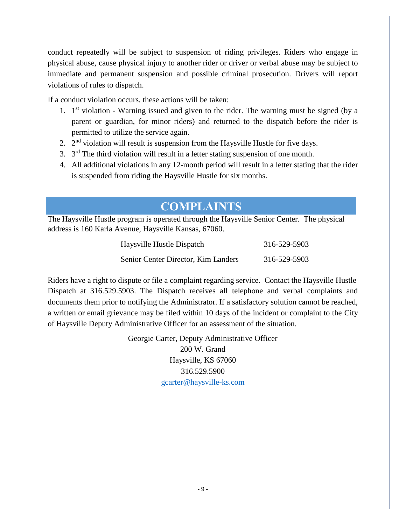conduct repeatedly will be subject to suspension of riding privileges. Riders who engage in physical abuse, cause physical injury to another rider or driver or verbal abuse may be subject to immediate and permanent suspension and possible criminal prosecution. Drivers will report violations of rules to dispatch.

If a conduct violation occurs, these actions will be taken:

- 1. 1<sup>st</sup> violation Warning issued and given to the rider. The warning must be signed (by a parent or guardian, for minor riders) and returned to the dispatch before the rider is permitted to utilize the service again.
- 2.  $2<sup>nd</sup>$  violation will result is suspension from the Haysville Hustle for five days.
- 3.  $3<sup>rd</sup>$  The third violation will result in a letter stating suspension of one month.
- 4. All additional violations in any 12-month period will result in a letter stating that the rider is suspended from riding the Haysville Hustle for six months.

# **COMPLAINTS**

The Haysville Hustle program is operated through the Haysville Senior Center. The physical address is 160 Karla Avenue, Haysville Kansas, 67060.

| Haysville Hustle Dispatch           | 316-529-5903 |
|-------------------------------------|--------------|
| Senior Center Director, Kim Landers | 316-529-5903 |

Riders have a right to dispute or file a complaint regarding service. Contact the Haysville Hustle Dispatch at 316.529.5903. The Dispatch receives all telephone and verbal complaints and documents them prior to notifying the Administrator. If a satisfactory solution cannot be reached, a written or email grievance may be filed within 10 days of the incident or complaint to the City of Haysville Deputy Administrative Officer for an assessment of the situation.

> Georgie Carter, Deputy Administrative Officer 200 W. Grand Haysville, KS 67060 316.529.5900 [gcarter@haysville-ks.com](mailto:gcarter@haysville-ks.com)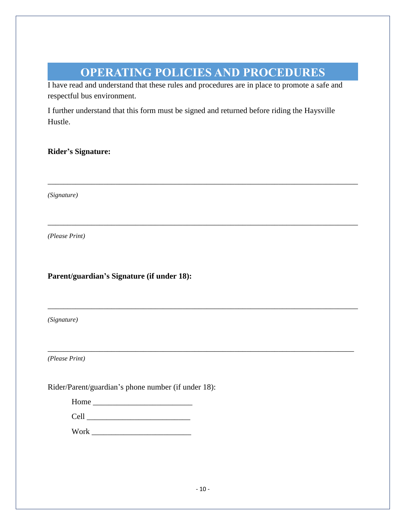# **OPERATING POLICIES AND PROCEDURES**

\_\_\_\_\_\_\_\_\_\_\_\_\_\_\_\_\_\_\_\_\_\_\_\_\_\_\_\_\_\_\_\_\_\_\_\_\_\_\_\_\_\_\_\_\_\_\_\_\_\_\_\_\_\_\_\_\_\_\_\_\_\_\_\_\_\_\_\_\_\_\_\_\_\_\_\_\_\_

\_\_\_\_\_\_\_\_\_\_\_\_\_\_\_\_\_\_\_\_\_\_\_\_\_\_\_\_\_\_\_\_\_\_\_\_\_\_\_\_\_\_\_\_\_\_\_\_\_\_\_\_\_\_\_\_\_\_\_\_\_\_\_\_\_\_\_\_\_\_\_\_\_\_\_\_\_\_

\_\_\_\_\_\_\_\_\_\_\_\_\_\_\_\_\_\_\_\_\_\_\_\_\_\_\_\_\_\_\_\_\_\_\_\_\_\_\_\_\_\_\_\_\_\_\_\_\_\_\_\_\_\_\_\_\_\_\_\_\_\_\_\_\_\_\_\_\_\_\_\_\_\_\_\_\_\_

\_\_\_\_\_\_\_\_\_\_\_\_\_\_\_\_\_\_\_\_\_\_\_\_\_\_\_\_\_\_\_\_\_\_\_\_\_\_\_\_\_\_\_\_\_\_\_\_\_\_\_\_\_\_\_\_\_\_\_\_\_\_\_\_\_\_\_\_\_\_\_\_\_\_\_\_\_

I have read and understand that these rules and procedures are in place to promote a safe and respectful bus environment.

I further understand that this form must be signed and returned before riding the Haysville Hustle.

#### **Rider's Signature:**

*(Signature)*

*(Please Print)*

#### **Parent/guardian's Signature (if under 18):**

*(Signature)*

*(Please Print)*

Rider/Parent/guardian's phone number (if under 18):

| Home              |  |  |  |
|-------------------|--|--|--|
| C <sub>2</sub> 11 |  |  |  |

| ンシェエ |  |  |  |  |  |
|------|--|--|--|--|--|
|      |  |  |  |  |  |
|      |  |  |  |  |  |
|      |  |  |  |  |  |
|      |  |  |  |  |  |
|      |  |  |  |  |  |
|      |  |  |  |  |  |

Work **Work**